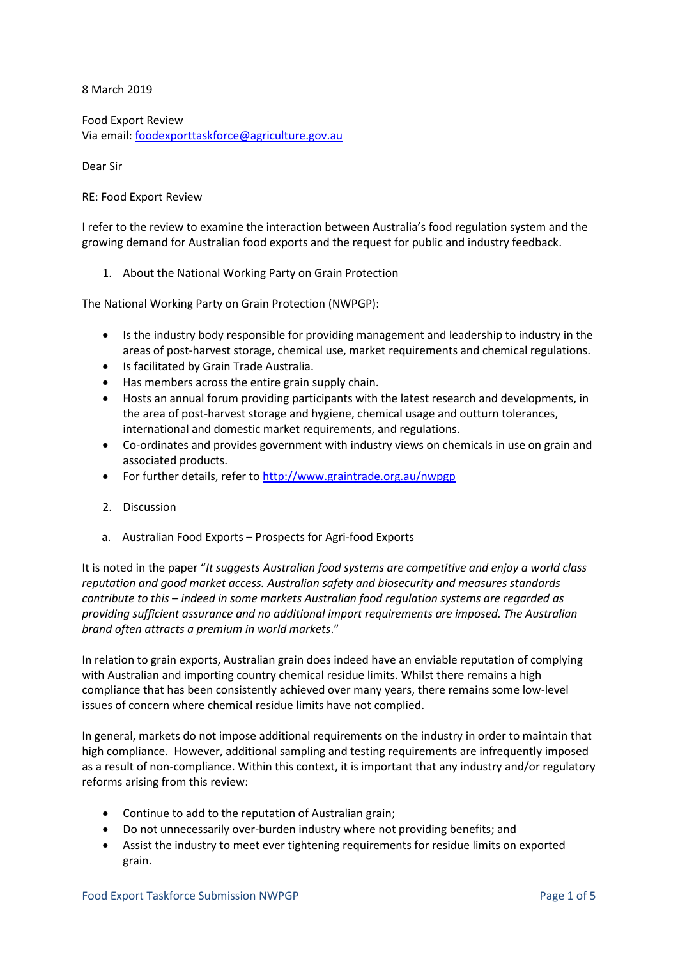8 March 2019

Food Export Review Via email: foodexporttaskforce@agriculture.gov.au

Dear Sir

## RE: Food Export Review

I refer to the review to examine the interaction between Australia's food regulation system and the growing demand for Australian food exports and the request for public and industry feedback.

1. About the National Working Party on Grain Protection

The National Working Party on Grain Protection (NWPGP):

- Is the industry body responsible for providing management and leadership to industry in the areas of post-harvest storage, chemical use, market requirements and chemical regulations.
- Is facilitated by Grain Trade Australia.
- Has members across the entire grain supply chain.
- Hosts an annual forum providing participants with the latest research and developments, in the area of post-harvest storage and hygiene, chemical usage and outturn tolerances, international and domestic market requirements, and regulations.
- Co-ordinates and provides government with industry views on chemicals in use on grain and associated products.
- For further details, refer t[o http://www.graintrade.org.au/nwpgp](http://www.graintrade.org.au/nwpgp)
- 2. Discussion
- a. Australian Food Exports Prospects for Agri-food Exports

It is noted in the paper "*It suggests Australian food systems are competitive and enjoy a world class reputation and good market access. Australian safety and biosecurity and measures standards contribute to this – indeed in some markets Australian food regulation systems are regarded as providing sufficient assurance and no additional import requirements are imposed. The Australian brand often attracts a premium in world markets*."

In relation to grain exports, Australian grain does indeed have an enviable reputation of complying with Australian and importing country chemical residue limits. Whilst there remains a high compliance that has been consistently achieved over many years, there remains some low-level issues of concern where chemical residue limits have not complied.

In general, markets do not impose additional requirements on the industry in order to maintain that high compliance. However, additional sampling and testing requirements are infrequently imposed as a result of non-compliance. Within this context, it is important that any industry and/or regulatory reforms arising from this review:

- Continue to add to the reputation of Australian grain;
- Do not unnecessarily over-burden industry where not providing benefits; and
- Assist the industry to meet ever tightening requirements for residue limits on exported grain.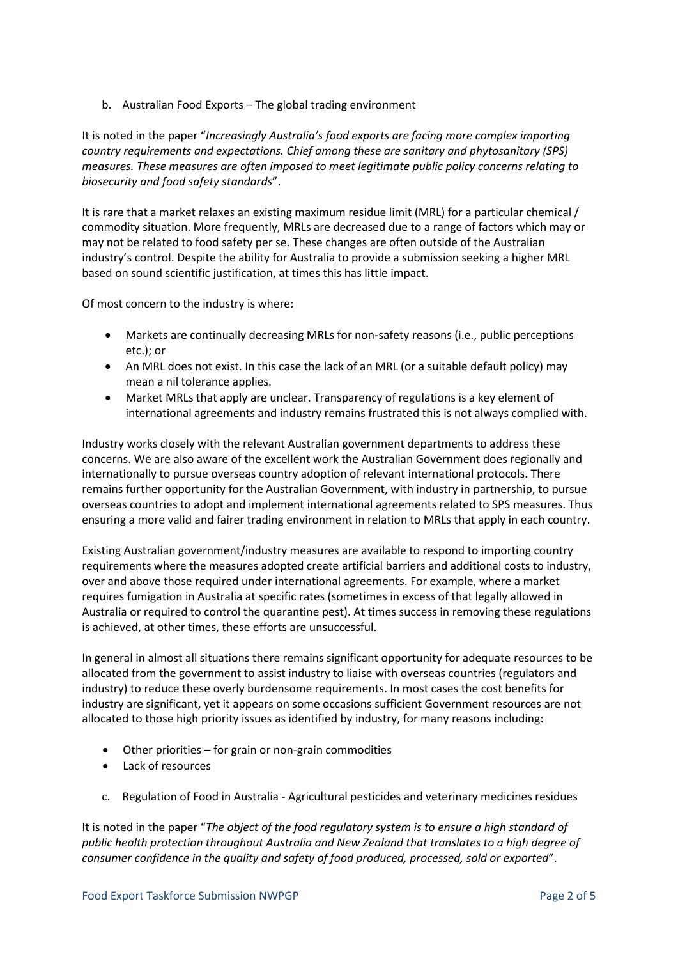b. Australian Food Exports – The global trading environment

It is noted in the paper "*Increasingly Australia's food exports are facing more complex importing country requirements and expectations. Chief among these are sanitary and phytosanitary (SPS) measures. These measures are often imposed to meet legitimate public policy concerns relating to biosecurity and food safety standards*".

It is rare that a market relaxes an existing maximum residue limit (MRL) for a particular chemical / commodity situation. More frequently, MRLs are decreased due to a range of factors which may or may not be related to food safety per se. These changes are often outside of the Australian industry's control. Despite the ability for Australia to provide a submission seeking a higher MRL based on sound scientific justification, at times this has little impact.

Of most concern to the industry is where:

- Markets are continually decreasing MRLs for non-safety reasons (i.e., public perceptions etc.); or
- An MRL does not exist. In this case the lack of an MRL (or a suitable default policy) may mean a nil tolerance applies.
- Market MRLs that apply are unclear. Transparency of regulations is a key element of international agreements and industry remains frustrated this is not always complied with.

Industry works closely with the relevant Australian government departments to address these concerns. We are also aware of the excellent work the Australian Government does regionally and internationally to pursue overseas country adoption of relevant international protocols. There remains further opportunity for the Australian Government, with industry in partnership, to pursue overseas countries to adopt and implement international agreements related to SPS measures. Thus ensuring a more valid and fairer trading environment in relation to MRLs that apply in each country.

Existing Australian government/industry measures are available to respond to importing country requirements where the measures adopted create artificial barriers and additional costs to industry, over and above those required under international agreements. For example, where a market requires fumigation in Australia at specific rates (sometimes in excess of that legally allowed in Australia or required to control the quarantine pest). At times success in removing these regulations is achieved, at other times, these efforts are unsuccessful.

In general in almost all situations there remains significant opportunity for adequate resources to be allocated from the government to assist industry to liaise with overseas countries (regulators and industry) to reduce these overly burdensome requirements. In most cases the cost benefits for industry are significant, yet it appears on some occasions sufficient Government resources are not allocated to those high priority issues as identified by industry, for many reasons including:

- Other priorities for grain or non-grain commodities
- Lack of resources
- c. Regulation of Food in Australia Agricultural pesticides and veterinary medicines residues

It is noted in the paper "*The object of the food regulatory system is to ensure a high standard of public health protection throughout Australia and New Zealand that translates to a high degree of consumer confidence in the quality and safety of food produced, processed, sold or exported*".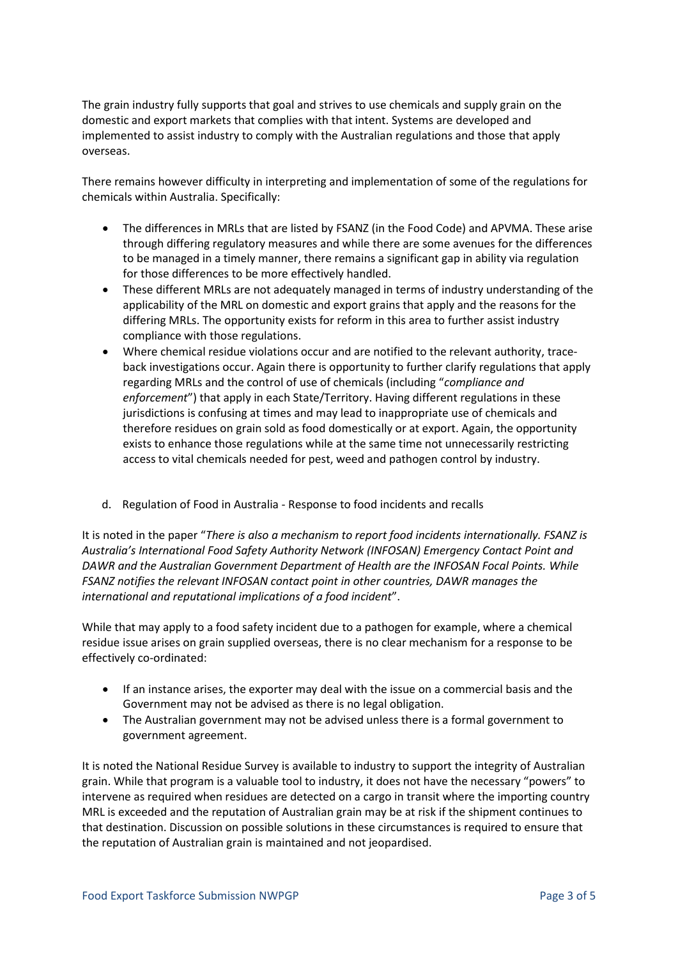The grain industry fully supports that goal and strives to use chemicals and supply grain on the domestic and export markets that complies with that intent. Systems are developed and implemented to assist industry to comply with the Australian regulations and those that apply overseas.

There remains however difficulty in interpreting and implementation of some of the regulations for chemicals within Australia. Specifically:

- The differences in MRLs that are listed by FSANZ (in the Food Code) and APVMA. These arise through differing regulatory measures and while there are some avenues for the differences to be managed in a timely manner, there remains a significant gap in ability via regulation for those differences to be more effectively handled.
- These different MRLs are not adequately managed in terms of industry understanding of the applicability of the MRL on domestic and export grains that apply and the reasons for the differing MRLs. The opportunity exists for reform in this area to further assist industry compliance with those regulations.
- Where chemical residue violations occur and are notified to the relevant authority, traceback investigations occur. Again there is opportunity to further clarify regulations that apply regarding MRLs and the control of use of chemicals (including "*compliance and enforcement*") that apply in each State/Territory. Having different regulations in these jurisdictions is confusing at times and may lead to inappropriate use of chemicals and therefore residues on grain sold as food domestically or at export. Again, the opportunity exists to enhance those regulations while at the same time not unnecessarily restricting access to vital chemicals needed for pest, weed and pathogen control by industry.
- d. Regulation of Food in Australia Response to food incidents and recalls

It is noted in the paper "*There is also a mechanism to report food incidents internationally. FSANZ is Australia's International Food Safety Authority Network (INFOSAN) Emergency Contact Point and DAWR and the Australian Government Department of Health are the INFOSAN Focal Points. While FSANZ notifies the relevant INFOSAN contact point in other countries, DAWR manages the international and reputational implications of a food incident*".

While that may apply to a food safety incident due to a pathogen for example, where a chemical residue issue arises on grain supplied overseas, there is no clear mechanism for a response to be effectively co-ordinated:

- If an instance arises, the exporter may deal with the issue on a commercial basis and the Government may not be advised as there is no legal obligation.
- The Australian government may not be advised unless there is a formal government to government agreement.

It is noted the National Residue Survey is available to industry to support the integrity of Australian grain. While that program is a valuable tool to industry, it does not have the necessary "powers" to intervene as required when residues are detected on a cargo in transit where the importing country MRL is exceeded and the reputation of Australian grain may be at risk if the shipment continues to that destination. Discussion on possible solutions in these circumstances is required to ensure that the reputation of Australian grain is maintained and not jeopardised.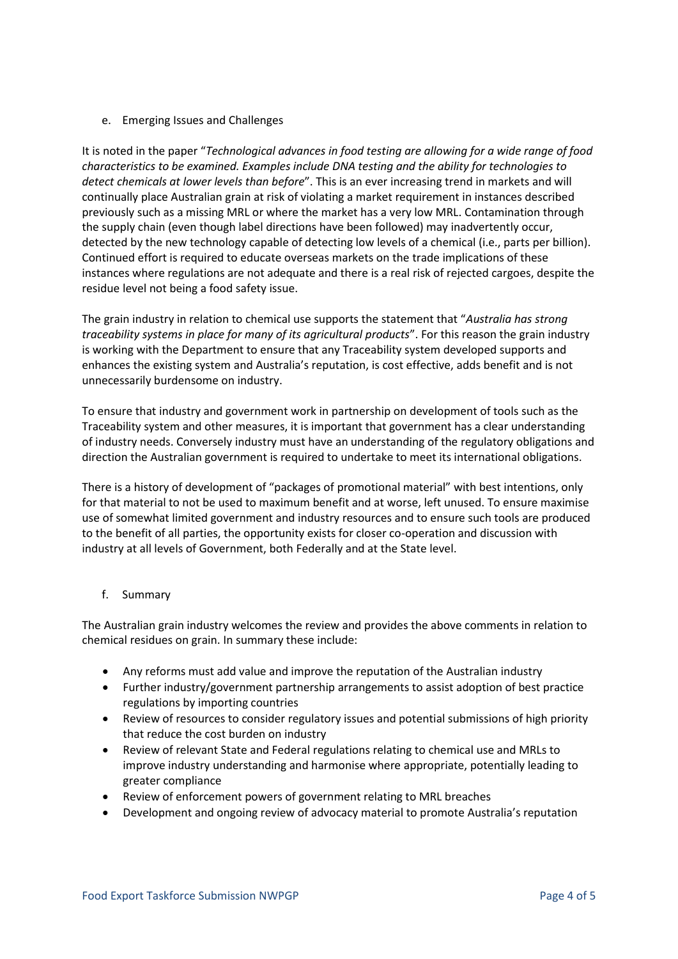## e. Emerging Issues and Challenges

It is noted in the paper "*Technological advances in food testing are allowing for a wide range of food characteristics to be examined. Examples include DNA testing and the ability for technologies to detect chemicals at lower levels than before*". This is an ever increasing trend in markets and will continually place Australian grain at risk of violating a market requirement in instances described previously such as a missing MRL or where the market has a very low MRL. Contamination through the supply chain (even though label directions have been followed) may inadvertently occur, detected by the new technology capable of detecting low levels of a chemical (i.e., parts per billion). Continued effort is required to educate overseas markets on the trade implications of these instances where regulations are not adequate and there is a real risk of rejected cargoes, despite the residue level not being a food safety issue.

The grain industry in relation to chemical use supports the statement that "*Australia has strong traceability systems in place for many of its agricultural products*". For this reason the grain industry is working with the Department to ensure that any Traceability system developed supports and enhances the existing system and Australia's reputation, is cost effective, adds benefit and is not unnecessarily burdensome on industry.

To ensure that industry and government work in partnership on development of tools such as the Traceability system and other measures, it is important that government has a clear understanding of industry needs. Conversely industry must have an understanding of the regulatory obligations and direction the Australian government is required to undertake to meet its international obligations.

There is a history of development of "packages of promotional material" with best intentions, only for that material to not be used to maximum benefit and at worse, left unused. To ensure maximise use of somewhat limited government and industry resources and to ensure such tools are produced to the benefit of all parties, the opportunity exists for closer co-operation and discussion with industry at all levels of Government, both Federally and at the State level.

## f. Summary

The Australian grain industry welcomes the review and provides the above comments in relation to chemical residues on grain. In summary these include:

- Any reforms must add value and improve the reputation of the Australian industry
- Further industry/government partnership arrangements to assist adoption of best practice regulations by importing countries
- Review of resources to consider regulatory issues and potential submissions of high priority that reduce the cost burden on industry
- Review of relevant State and Federal regulations relating to chemical use and MRLs to improve industry understanding and harmonise where appropriate, potentially leading to greater compliance
- Review of enforcement powers of government relating to MRL breaches
- Development and ongoing review of advocacy material to promote Australia's reputation